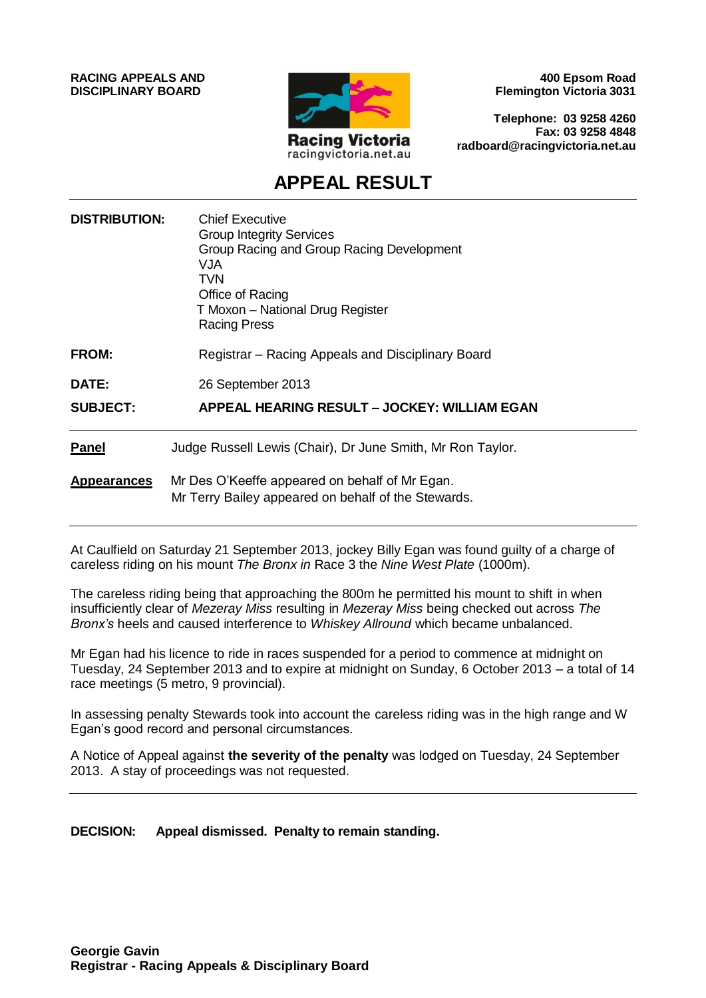**RACING APPEALS AND DISCIPLINARY BOARD**



**400 Epsom Road Flemington Victoria 3031**

**Telephone: 03 9258 4260 Fax: 03 9258 4848 radboard@racingvictoria.net.au**

# **APPEAL RESULT**

| <b>DISTRIBUTION:</b> | <b>Chief Executive</b><br><b>Group Integrity Services</b><br>Group Racing and Group Racing Development<br><b>VJA</b><br><b>TVN</b><br>Office of Racing<br>T Moxon - National Drug Register<br><b>Racing Press</b> |
|----------------------|-------------------------------------------------------------------------------------------------------------------------------------------------------------------------------------------------------------------|
| FROM:                | Registrar – Racing Appeals and Disciplinary Board                                                                                                                                                                 |
| <b>DATE:</b>         | 26 September 2013                                                                                                                                                                                                 |
| <b>SUBJECT:</b>      | APPEAL HEARING RESULT – JOCKEY: WILLIAM EGAN                                                                                                                                                                      |
| <b>Panel</b>         | Judge Russell Lewis (Chair), Dr June Smith, Mr Ron Taylor.                                                                                                                                                        |
| <b>Appearances</b>   | Mr Des O'Keeffe appeared on behalf of Mr Egan.<br>Mr Terry Bailey appeared on behalf of the Stewards.                                                                                                             |

At Caulfield on Saturday 21 September 2013, jockey Billy Egan was found guilty of a charge of careless riding on his mount *The Bronx in* Race 3 the *Nine West Plate* (1000m).

The careless riding being that approaching the 800m he permitted his mount to shift in when insufficiently clear of *Mezeray Miss* resulting in *Mezeray Miss* being checked out across *The Bronx's* heels and caused interference to *Whiskey Allround* which became unbalanced.

Mr Egan had his licence to ride in races suspended for a period to commence at midnight on Tuesday, 24 September 2013 and to expire at midnight on Sunday, 6 October 2013 – a total of 14 race meetings (5 metro, 9 provincial).

In assessing penalty Stewards took into account the careless riding was in the high range and W Egan's good record and personal circumstances.

A Notice of Appeal against **the severity of the penalty** was lodged on Tuesday, 24 September 2013. A stay of proceedings was not requested.

**DECISION: Appeal dismissed. Penalty to remain standing.**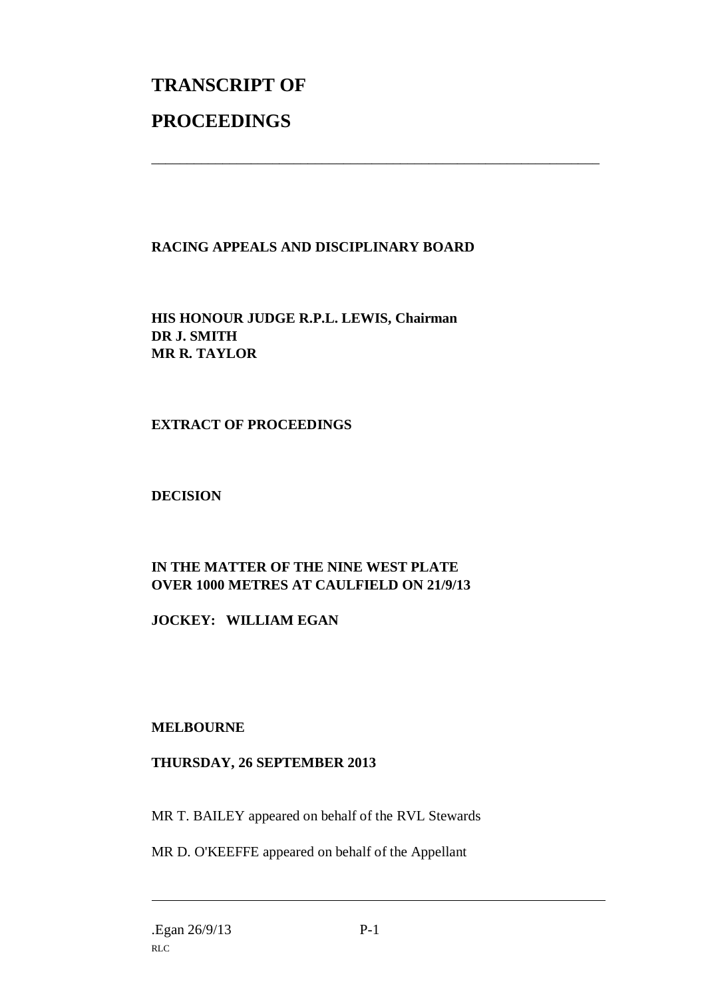# **TRANSCRIPT OF PROCEEDINGS**

# **RACING APPEALS AND DISCIPLINARY BOARD**

\_\_\_\_\_\_\_\_\_\_\_\_\_\_\_\_\_\_\_\_\_\_\_\_\_\_\_\_\_\_\_\_\_\_\_\_\_\_\_\_\_\_\_\_\_\_\_\_\_\_\_\_\_\_\_\_\_\_\_\_\_\_\_

**HIS HONOUR JUDGE R.P.L. LEWIS, Chairman DR J. SMITH MR R. TAYLOR**

# **EXTRACT OF PROCEEDINGS**

#### **DECISION**

# **IN THE MATTER OF THE NINE WEST PLATE OVER 1000 METRES AT CAULFIELD ON 21/9/13**

**JOCKEY: WILLIAM EGAN**

# **MELBOURNE**

# **THURSDAY, 26 SEPTEMBER 2013**

MR T. BAILEY appeared on behalf of the RVL Stewards

MR D. O'KEEFFE appeared on behalf of the Appellant